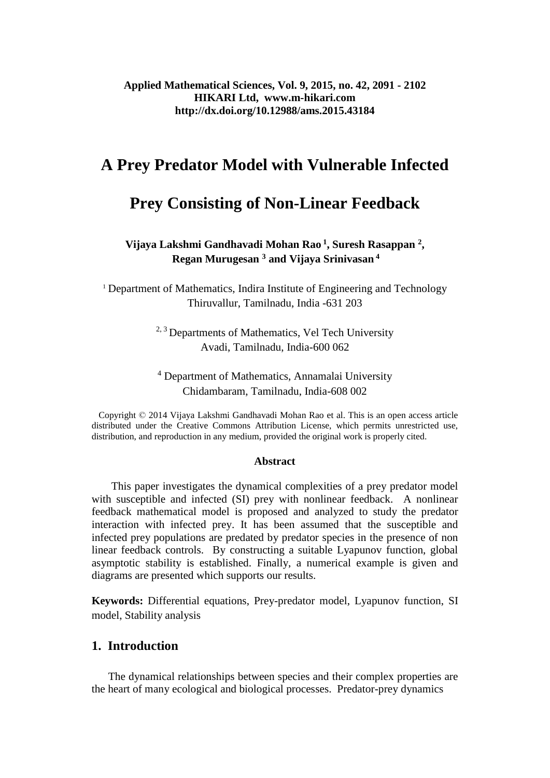# **A Prey Predator Model with Vulnerable Infected**

# **Prey Consisting of Non-Linear Feedback**

## **Vijaya Lakshmi Gandhavadi Mohan Rao <sup>1</sup> , Suresh Rasappan <sup>2</sup> , Regan Murugesan <sup>3</sup> and Vijaya Srinivasan <sup>4</sup>**

<sup>1</sup> Department of Mathematics, Indira Institute of Engineering and Technology Thiruvallur, Tamilnadu, India -631 203

> $2, 3$  Departments of Mathematics, Vel Tech University Avadi, Tamilnadu, India-600 062

> <sup>4</sup> Department of Mathematics, Annamalai University Chidambaram, Tamilnadu, India-608 002

 Copyright © 2014 Vijaya Lakshmi Gandhavadi Mohan Rao et al. This is an open access article distributed under the Creative Commons Attribution License, which permits unrestricted use, distribution, and reproduction in any medium, provided the original work is properly cited.

#### **Abstract**

This paper investigates the dynamical complexities of a prey predator model with susceptible and infected (SI) prey with nonlinear feedback. A nonlinear feedback mathematical model is proposed and analyzed to study the predator interaction with infected prey. It has been assumed that the susceptible and infected prey populations are predated by predator species in the presence of non linear feedback controls. By constructing a suitable Lyapunov function, global asymptotic stability is established. Finally, a numerical example is given and diagrams are presented which supports our results.

**Keywords:** Differential equations, Prey-predator model, Lyapunov function, SI model, Stability analysis

## **1. Introduction**

The dynamical relationships between species and their complex properties are the heart of many ecological and biological processes. Predator-prey dynamics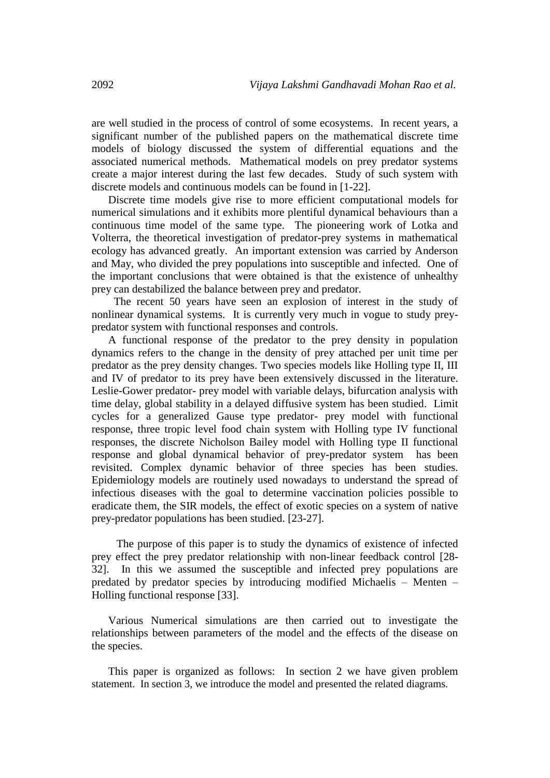are well studied in the process of control of some ecosystems. In recent years, a significant number of the published papers on the mathematical discrete time models of biology discussed the system of differential equations and the associated numerical methods. Mathematical models on prey predator systems create a major interest during the last few decades. Study of such system with discrete models and continuous models can be found in [1-22].

Discrete time models give rise to more efficient computational models for numerical simulations and it exhibits more plentiful dynamical behaviours than a continuous time model of the same type. The pioneering work of Lotka and Volterra, the theoretical investigation of predator-prey systems in mathematical ecology has advanced greatly. An important extension was carried by Anderson and May, who divided the prey populations into susceptible and infected. One of the important conclusions that were obtained is that the existence of unhealthy prey can destabilized the balance between prey and predator.

 The recent 50 years have seen an explosion of interest in the study of nonlinear dynamical systems. It is currently very much in vogue to study preypredator system with functional responses and controls.

A functional response of the predator to the prey density in population dynamics refers to the change in the density of prey attached per unit time per predator as the prey density changes. Two species models like Holling type II, III and IV of predator to its prey have been extensively discussed in the literature. Leslie-Gower predator- prey model with variable delays, bifurcation analysis with time delay, global stability in a delayed diffusive system has been studied. Limit cycles for a generalized Gause type predator- prey model with functional response, three tropic level food chain system with Holling type IV functional responses, the discrete Nicholson Bailey model with Holling type II functional response and global dynamical behavior of prey-predator system has been revisited. Complex dynamic behavior of three species has been studies. Epidemiology models are routinely used nowadays to understand the spread of infectious diseases with the goal to determine vaccination policies possible to eradicate them, the SIR models, the effect of exotic species on a system of native prey-predator populations has been studied. [23-27].

 The purpose of this paper is to study the dynamics of existence of infected prey effect the prey predator relationship with non-linear feedback control [28- 32]. In this we assumed the susceptible and infected prey populations are predated by predator species by introducing modified Michaelis – Menten – Holling functional response [33].

Various Numerical simulations are then carried out to investigate the relationships between parameters of the model and the effects of the disease on the species.

This paper is organized as follows: In section 2 we have given problem statement. In section 3, we introduce the model and presented the related diagrams.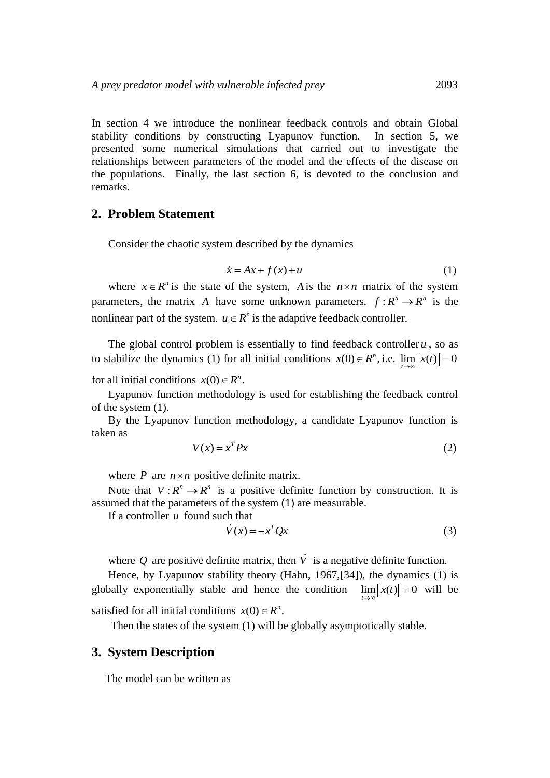In section 4 we introduce the nonlinear feedback controls and obtain Global stability conditions by constructing Lyapunov function. In section 5, we presented some numerical simulations that carried out to investigate the relationships between parameters of the model and the effects of the disease on the populations. Finally, the last section 6, is devoted to the conclusion and remarks.

## **2. Problem Statement**

Consider the chaotic system described by the dynamics

$$
\dot{x} = Ax + f(x) + u \tag{1}
$$

where  $x \in R^n$  is the state of the system, A is the  $n \times n$  matrix of the system parameters, the matrix A have some unknown parameters.  $f: R^n \to R^n$  is the nonlinear part of the system.  $u \in R^n$  is the adaptive feedback controller.

The global control problem is essentially to find feedback controller  $u$ , so as to stabilize the dynamics (1) for all initial conditions  $x(0) \in R^n$ , i.e.  $\lim_{t \to \infty} ||x(t)|| = 0$ 

for all initial conditions  $x(0) \in R^n$ .

Lyapunov function methodology is used for establishing the feedback control of the system (1).

By the Lyapunov function methodology, a candidate Lyapunov function is taken as

$$
V(x) = x^T P x \tag{2}
$$

where  $P$  are  $n \times n$  positive definite matrix.

Note that  $V: \mathbb{R}^n \to \mathbb{R}^n$  is a positive definite function by construction. It is assumed that the parameters of the system (1) are measurable.

If a controller  $u$  found such that

$$
\dot{V}(x) = -x^T Q x \tag{3}
$$

where  $Q$  are positive definite matrix, then  $\dot{V}$  is a negative definite function.

Hence, by Lyapunov stability theory (Hahn, 1967,[34]), the dynamics (1) is globally exponentially stable and hence the condition  $\lim_{t\to\infty} ||x(t)|| = 0$  will be *t* satisfied for all initial conditions  $x(0) \in R^n$ .

Then the states of the system (1) will be globally asymptotically stable.

### **3. System Description**

The model can be written as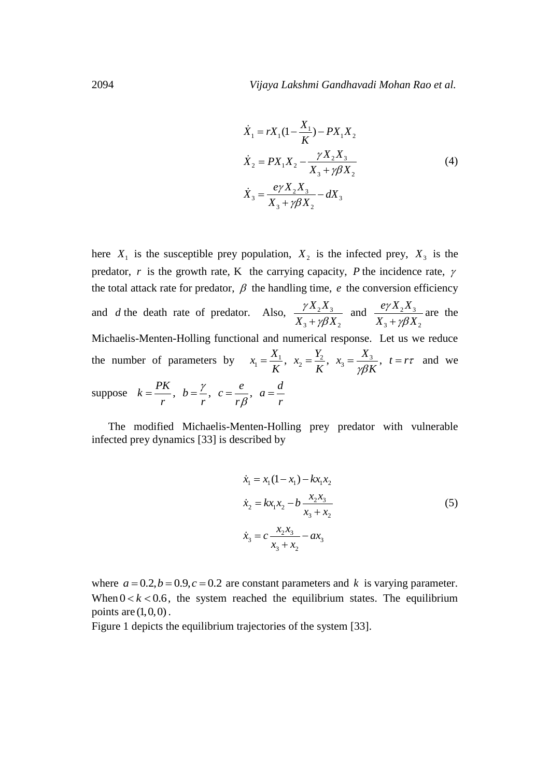$$
\dot{X}_1 = rX_1(1 - \frac{X_1}{K}) - PX_1X_2
$$
\n
$$
\dot{X}_2 = PX_1X_2 - \frac{\gamma X_2X_3}{X_3 + \gamma \beta X_2}
$$
\n
$$
\dot{X}_3 = \frac{e\gamma X_2X_3}{X_3 + \gamma \beta X_2} - dX_3
$$
\n(4)

here  $X_1$  is the susceptible prey population,  $X_2$  is the infected prey,  $X_3$  is the predator, r is the growth rate, K the carrying capacity, P the incidence rate,  $\gamma$ the total attack rate for predator,  $\beta$  the handling time,  $e$  the conversion efficiency and *d* the death rate of predator. Also,  $2^{21}3$  $3 + \mu \mathbf{r}_2$  $X_{2}X$  $X_3 + \gamma \beta X$ γ  $+\gamma\beta$ and  $\frac{c_1}{1} \frac{A_2 A_3}{1}$  $3 + \mu \mathbf{r}_2$  $e\gamma X_2 X$  $X_3 + \gamma \beta X$ ?γ  $+\gamma\beta$ are the Michaelis-Menten-Holling functional and numerical response. Let us we reduce Michaelis-Menten-Holling functional and numerical response. Let us<br>the number of parameters by  $x_1 = \frac{X_1}{K}$ ,  $x_2 = \frac{Y_2}{K}$ ,  $x_3 = \frac{X_3}{\sqrt{2K}}$ ,  $t = r$  $\frac{X_1}{K}$ ,  $x_2 = \frac{Y_2}{K}$ ,  $x_3 = \frac{X_3}{\gamma \beta K}$  $=\frac{X_1}{K}$ ,  $x_2 = \frac{Y_2}{K}$ ,  $x_3 = \frac{X_3}{\gamma \beta K}$ ,  $t = r\tau$  and we suppose  $k = \frac{PK}{r}$ ,  $b = \frac{\gamma}{r}$ ,  $c = \frac{e}{r}$ ,  $a = \frac{d}{r}$  $\frac{r}{r}$ ,  $b = \frac{\gamma}{r}$ ,  $c = \frac{e}{r\beta}$ ,  $a = \frac{a}{r}$  $=\frac{PK}{r}, b=\frac{\gamma}{r}, c=\frac{e}{r\beta}, a=\frac{d}{r}$ 

The modified Michaelis-Menten-Holling prey predator with vulnerable infected prey dynamics [33] is described by

$$
\dot{x}_1 = x_1(1 - x_1) - kx_1x_2
$$
\n
$$
\dot{x}_2 = kx_1x_2 - b\frac{x_2x_3}{x_3 + x_2}
$$
\n
$$
\dot{x}_3 = c\frac{x_2x_3}{x_3 + x_2} - ax_3
$$
\n(5)

where  $a = 0.2$ ,  $b = 0.9$ ,  $c = 0.2$  are constant parameters and k is varying parameter. When  $0 < k < 0.6$ , the system reached the equilibrium states. The equilibrium points are  $(1,0,0)$ .

Figure 1 depicts the equilibrium trajectories of the system [33].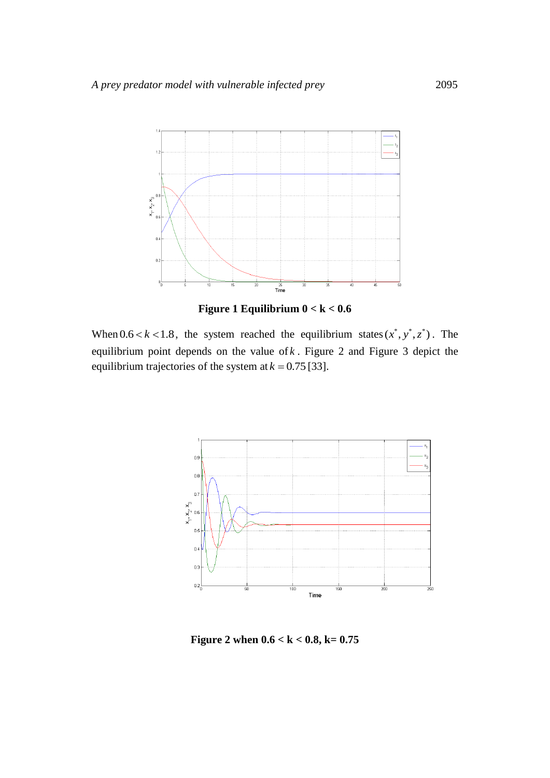

**Figure 1 Equilibrium 0 < k < 0.6**

When  $0.6 < k < 1.8$ , the system reached the equilibrium states  $(x^*, y^*, z^*)$ . The equilibrium point depends on the value of *k* . Figure 2 and Figure 3 depict the equilibrium trajectories of the system at  $k = 0.75$  [33].



**Figure 2 when 0.6 < k < 0.8, k= 0.75**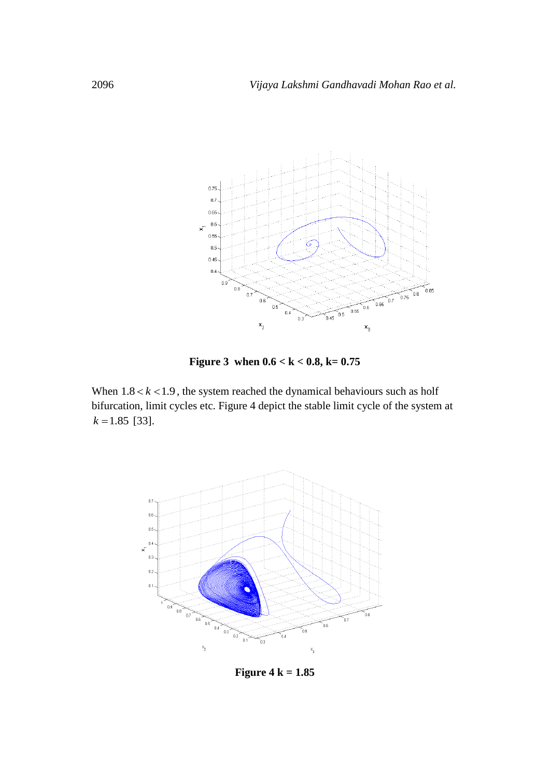

**Figure 3 when 0.6 < k < 0.8, k= 0.75**

When  $1.8 < k < 1.9$ , the system reached the dynamical behaviours such as holf bifurcation, limit cycles etc. Figure 4 depict the stable limit cycle of the system at  $k = 1.85$  [33].



**Figure 4 k = 1.85**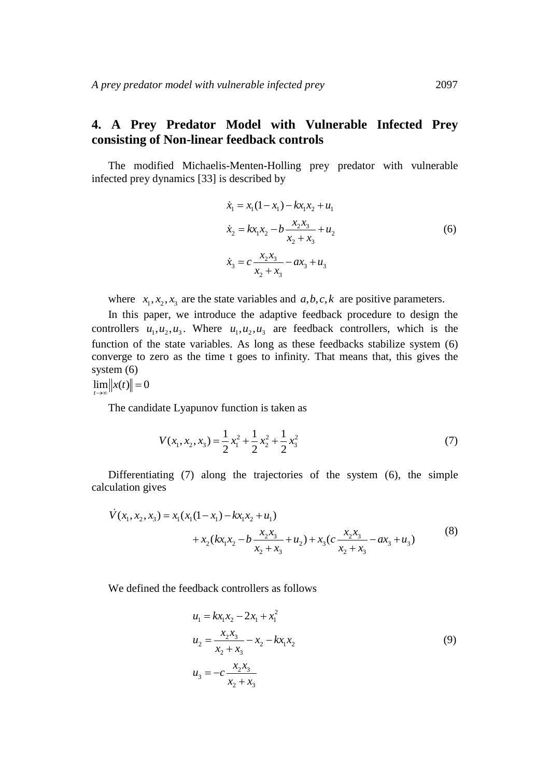## **4. A Prey Predator Model with Vulnerable Infected Prey consisting of Non-linear feedback controls**

The modified Michaelis-Menten-Holling prey predator with vulnerable infected prey dynamics [33] is described by

$$
\dot{x}_1 = x_1(1 - x_1) - kx_1x_2 + u_1
$$
\n
$$
\dot{x}_2 = kx_1x_2 - b\frac{x_2x_3}{x_2 + x_3} + u_2
$$
\n
$$
\dot{x}_3 = c\frac{x_2x_3}{x_2 + x_3} - ax_3 + u_3
$$
\n(6)

where  $x_1, x_2, x_3$  are the state variables and  $a, b, c, k$  are positive parameters.

In this paper, we introduce the adaptive feedback procedure to design the controllers  $u_1, u_2, u_3$ . Where  $u_1, u_2, u_3$  are feedback controllers, which is the function of the state variables. As long as these feedbacks stabilize system (6) converge to zero as the time t goes to infinity. That means that, this gives the system (6)

 $\lim \| x(t) \| = 0$ *t*  $\rightarrow \infty$ 

The candidate Lyapunov function is taken as

$$
V(x_1, x_2, x_3) = \frac{1}{2}x_1^2 + \frac{1}{2}x_2^2 + \frac{1}{2}x_3^2
$$
 (7)

Differentiating (7) along the trajectories of the system (6), the simple calculation gives s<br>
=  $x_1(x_1(1-x_1) - kx_1x_2 + u_1)$ 

Unterminaling (7) along the trajectories of the system (0), the simple

\n
$$
\dot{V}(x_1, x_2, x_3) = x_1(x_1(1 - x_1) - kx_1x_2 + u_1) + x_2(kx_1x_2 - b\frac{x_2x_3}{x_2 + x_3} + u_2) + x_3(c\frac{x_2x_3}{x_2 + x_3} - ax_3 + u_3)
$$
\n(8)

We defined the feedback controllers as follows

$$
u_1 = kx_1x_2 - 2x_1 + x_1^2
$$
  
\n
$$
u_2 = \frac{x_2x_3}{x_2 + x_3} - x_2 - kx_1x_2
$$
  
\n
$$
u_3 = -c\frac{x_2x_3}{x_2 + x_3}
$$
\n(9)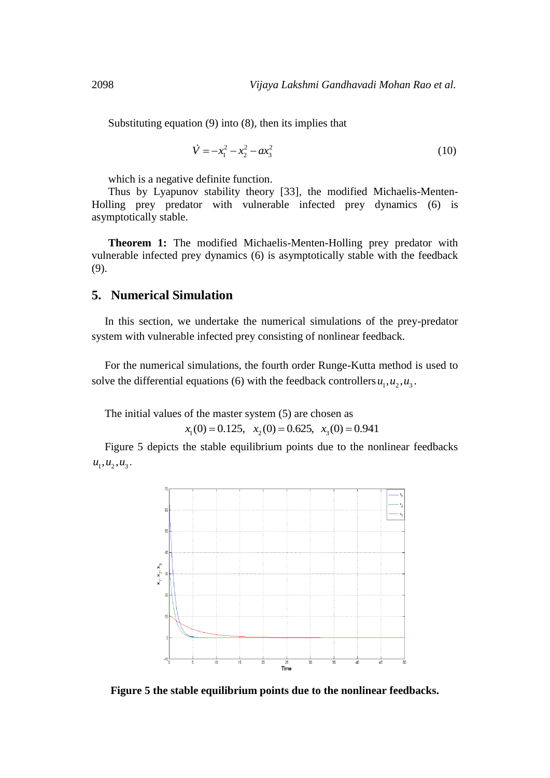Substituting equation (9) into (8), then its implies that

$$
\dot{V} = -x_1^2 - x_2^2 - ax_3^2 \tag{10}
$$

which is a negative definite function.

Thus by Lyapunov stability theory [33], the modified Michaelis-Menten-Holling prey predator with vulnerable infected prey dynamics (6) is asymptotically stable.

**Theorem 1:** The modified Michaelis-Menten-Holling prey predator with vulnerable infected prey dynamics (6) is asymptotically stable with the feedback (9).

## **5. Numerical Simulation**

In this section, we undertake the numerical simulations of the prey-predator system with vulnerable infected prey consisting of nonlinear feedback.

For the numerical simulations, the fourth order Runge-Kutta method is used to solve the differential equations (6) with the feedback controllers  $u_1, u_2, u_3$ .

The initial values of the master system (5) are chosen as<br>  $x_1(0) = 0.125$ ,  $x_2(0) = 0.625$ ,  $x_3(0) = 0.941$ 

$$
x_1(0) = 0.125
$$
,  $x_2(0) = 0.625$ ,  $x_3(0) = 0.941$ 

Figure 5 depicts the stable equilibrium points due to the nonlinear feedbacks  $u_1, u_2, u_3$ .



**Figure 5 the stable equilibrium points due to the nonlinear feedbacks.**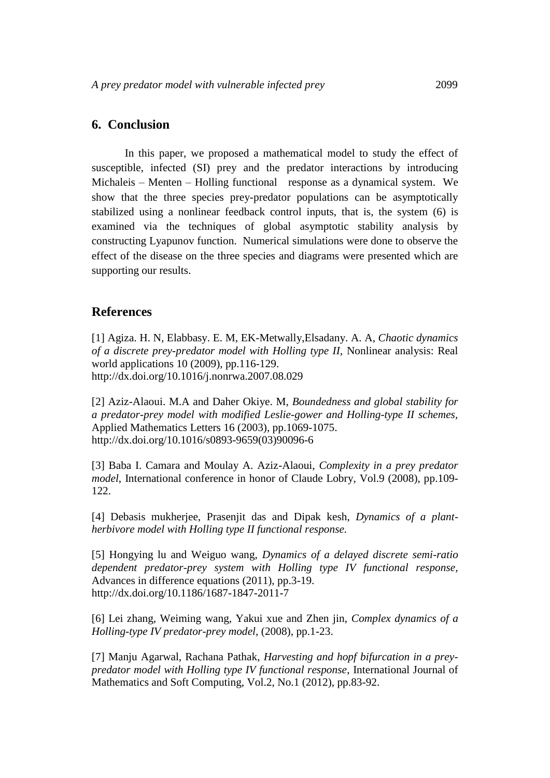### **6. Conclusion**

In this paper, we proposed a mathematical model to study the effect of susceptible, infected (SI) prey and the predator interactions by introducing Michaleis – Menten – Holling functional response as a dynamical system. We show that the three species prey-predator populations can be asymptotically stabilized using a nonlinear feedback control inputs, that is, the system (6) is examined via the techniques of global asymptotic stability analysis by constructing Lyapunov function. Numerical simulations were done to observe the effect of the disease on the three species and diagrams were presented which are supporting our results.

### **References**

[1] Agiza. H. N, Elabbasy. E. M, EK-Metwally,Elsadany. A. A, *Chaotic dynamics of a discrete prey-predator model with Holling type II,* Nonlinear analysis: Real world applications 10 (2009), pp.116-129. <http://dx.doi.org/10.1016/j.nonrwa.2007.08.029>

[2] Aziz-Alaoui. M.A and Daher Okiye. M, *Boundedness and global stability for a predator-prey model with modified Leslie-gower and Holling-type II schemes,*  Applied Mathematics Letters 16 (2003), pp.1069-1075. [http://dx.doi.org/10.1016/s0893-9659\(03\)90096-6](http://dx.doi.org/10.1016/s0893-9659%2803%2990096-6) 

[3] Baba I. Camara and Moulay A. Aziz-Alaoui, *Complexity in a prey predator model*, International conference in honor of Claude Lobry, Vol.9 (2008), pp.109- 122.

[4] Debasis mukherjee, Prasenjit das and Dipak kesh, *Dynamics of a plantherbivore model with Holling type II functional response.*

[5] Hongying lu and Weiguo wang, *Dynamics of a delayed discrete semi-ratio dependent predator-prey system with Holling type IV functional response,*  Advances in difference equations (2011), pp.3-19. <http://dx.doi.org/10.1186/1687-1847-2011-7>

[6] Lei zhang, Weiming wang, Yakui xue and Zhen jin, *Complex dynamics of a Holling-type IV predator-prey model,* (2008), pp.1-23.

[7] Manju Agarwal, Rachana Pathak, *Harvesting and hopf bifurcation in a preypredator model with Holling type IV functional response*, International Journal of Mathematics and Soft Computing, Vol.2, No.1 (2012), pp.83-92.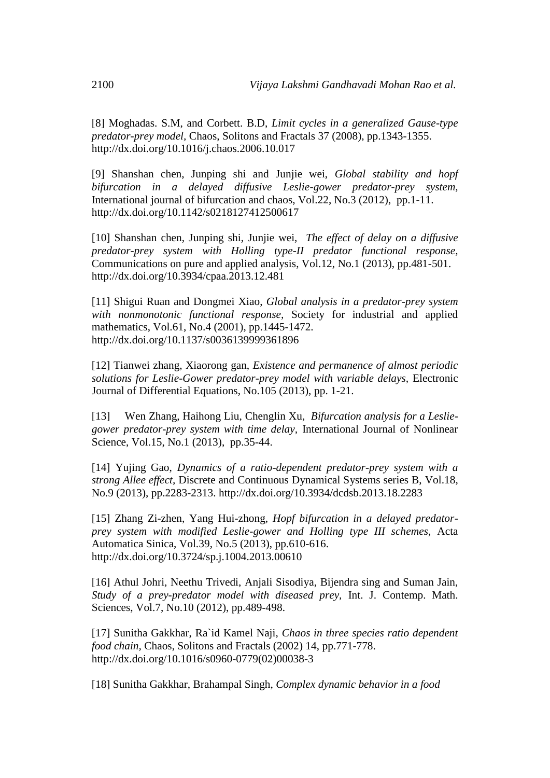[8] Moghadas. S.M, and Corbett. B.D, *Limit cycles in a generalized Gause-type predator-prey model,* Chaos, Solitons and Fractals 37 (2008), pp.1343-1355. <http://dx.doi.org/10.1016/j.chaos.2006.10.017>

[9] Shanshan chen, Junping shi and Junjie wei, *Global stability and hopf bifurcation in a delayed diffusive Leslie-gower predator-prey system,* International journal of bifurcation and chaos, Vol.22, No.3 (2012), pp.1-11. <http://dx.doi.org/10.1142/s0218127412500617>

[10] Shanshan chen, Junping shi, Junjie wei, *The effect of delay on a diffusive predator-prey system with Holling type-II predator functional response,*  Communications on pure and applied analysis, Vol.12, No.1 (2013), pp.481-501. <http://dx.doi.org/10.3934/cpaa.2013.12.481>

[11] Shigui Ruan and Dongmei Xiao, *Global analysis in a predator-prey system with nonmonotonic functional response,* Society for industrial and applied mathematics, Vol.61, No.4 (2001), pp.1445-1472. <http://dx.doi.org/10.1137/s0036139999361896>

[12] Tianwei zhang, Xiaorong gan, *Existence and permanence of almost periodic solutions for Leslie-Gower predator-prey model with variable delays,* Electronic Journal of Differential Equations, No.105 (2013), pp. 1-21.

[13] Wen Zhang, Haihong Liu, Chenglin Xu, *Bifurcation analysis for a Lesliegower predator-prey system with time delay,* International Journal of Nonlinear Science, Vol.15, No.1 (2013), pp.35-44.

[14] Yujing Gao, *Dynamics of a ratio-dependent predator-prey system with a strong Allee effect,* Discrete and Continuous Dynamical Systems series B, Vol.18, No.9 (2013), pp.2283-2313. <http://dx.doi.org/10.3934/dcdsb.2013.18.2283>

[15] Zhang Zi-zhen, Yang Hui-zhong, *Hopf bifurcation in a delayed predatorprey system with modified Leslie-gower and Holling type III schemes,* Acta Automatica Sinica, Vol.39, No.5 (2013), pp.610-616. <http://dx.doi.org/10.3724/sp.j.1004.2013.00610>

[16] Athul Johri, Neethu Trivedi, Anjali Sisodiya, Bijendra sing and Suman Jain, *Study of a prey-predator model with diseased prey,* Int. J. Contemp. Math. Sciences, Vol.7, No.10 (2012), pp.489-498.

[17] Sunitha Gakkhar, Ra`id Kamel Naji, *Chaos in three species ratio dependent food chain,* Chaos, Solitons and Fractals (2002) 14, pp.771-778. [http://dx.doi.org/10.1016/s0960-0779\(02\)00038-3](http://dx.doi.org/10.1016/s0960-0779%2802%2900038-3) 

[18] Sunitha Gakkhar, Brahampal Singh, *Complex dynamic behavior in a food*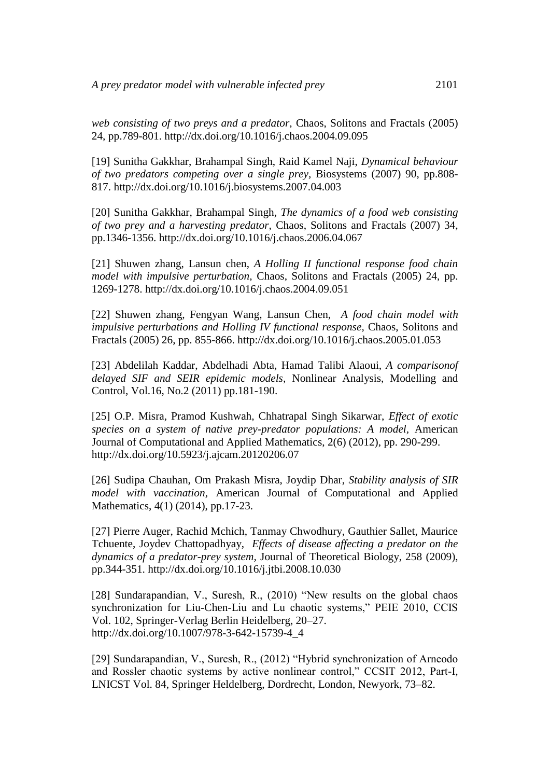*web consisting of two preys and a predator,* Chaos, Solitons and Fractals (2005) 24, pp.789-801. <http://dx.doi.org/10.1016/j.chaos.2004.09.095>

[19] Sunitha Gakkhar, Brahampal Singh, Raid Kamel Naji, *Dynamical behaviour of two predators competing over a single prey,* Biosystems (2007) 90, pp.808- 817. <http://dx.doi.org/10.1016/j.biosystems.2007.04.003>

[20] Sunitha Gakkhar, Brahampal Singh, *The dynamics of a food web consisting of two prey and a harvesting predator,* Chaos, Solitons and Fractals (2007) 34, pp.1346-1356. <http://dx.doi.org/10.1016/j.chaos.2006.04.067>

[21] Shuwen zhang, Lansun chen, *A Holling II functional response food chain model with impulsive perturbation,* Chaos, Solitons and Fractals (2005) 24, pp. 1269-1278. <http://dx.doi.org/10.1016/j.chaos.2004.09.051>

[22] Shuwen zhang, Fengyan Wang, Lansun Chen, *A food chain model with impulsive perturbations and Holling IV functional response,* Chaos, Solitons and Fractals (2005) 26, pp. 855-866. <http://dx.doi.org/10.1016/j.chaos.2005.01.053>

[23] Abdelilah Kaddar, Abdelhadi Abta, Hamad Talibi Alaoui, *A comparisonof delayed SIF and SEIR epidemic models,* Nonlinear Analysis, Modelling and Control, Vol.16, No.2 (2011) pp.181-190.

[25] O.P. Misra, Pramod Kushwah, Chhatrapal Singh Sikarwar, *Effect of exotic species on a system of native prey-predator populations: A model,* American Journal of Computational and Applied Mathematics, 2(6) (2012), pp. 290-299. <http://dx.doi.org/10.5923/j.ajcam.20120206.07>

[26] Sudipa Chauhan, Om Prakash Misra, Joydip Dhar, *Stability analysis of SIR model with vaccination,* American Journal of Computational and Applied Mathematics, 4(1) (2014), pp.17-23.

[27] Pierre Auger, Rachid Mchich, Tanmay Chwodhury, Gauthier Sallet, Maurice Tchuente, Joydev Chattopadhyay, *Effects of disease affecting a predator on the dynamics of a predator-prey system,* Journal of Theoretical Biology, 258 (2009), pp.344-351. <http://dx.doi.org/10.1016/j.jtbi.2008.10.030>

[28] Sundarapandian, V., Suresh, R., (2010) "New results on the global chaos synchronization for Liu-Chen-Liu and Lu chaotic systems," PEIE 2010, CCIS Vol. 102, Springer-Verlag Berlin Heidelberg, 20–27. [http://dx.doi.org/10.1007/978-3-642-15739-4\\_4](http://dx.doi.org/10.1007/978-3-642-15739-4_4) 

[29] Sundarapandian, V., Suresh, R., (2012) "Hybrid synchronization of Arneodo and Rossler chaotic systems by active nonlinear control," CCSIT 2012, Part-I, LNICST Vol. 84, Springer Heldelberg, Dordrecht, London, Newyork, 73–82.